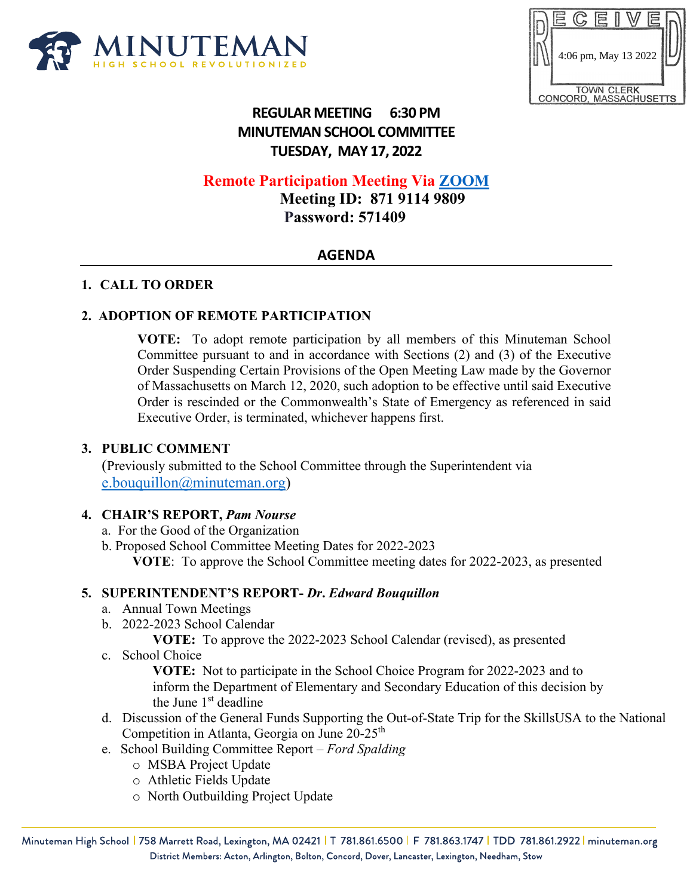

|                                             |                      |  | $\equiv$ |  |  |  |  |
|---------------------------------------------|----------------------|--|----------|--|--|--|--|
|                                             |                      |  |          |  |  |  |  |
|                                             | 4:06 pm, May 13 2022 |  |          |  |  |  |  |
|                                             |                      |  |          |  |  |  |  |
| <b>TOWN CLERK</b><br>CONCORD, MASSACHUSETTS |                      |  |          |  |  |  |  |

# **REGULAR MEETING 6:30 PM MINUTEMAN SCHOOL COMMITTEE TUESDAY, MAY 17, 2022**

## **Remote Participation Meeting Via [ZOOM](https://us06web.zoom.us/j/87191149809?pwd=azVNVG1MOWQ5NmVtQlkwWFh3VllhUT09)**

 **Meeting ID: 871 9114 9809 Password: 571409**

## **AGENDA**

#### **1. CALL TO ORDER**

## **2. ADOPTION OF REMOTE PARTICIPATION**

**VOTE:** To adopt remote participation by all members of this Minuteman School Committee pursuant to and in accordance with Sections (2) and (3) of the Executive Order Suspending Certain Provisions of the Open Meeting Law made by the Governor of Massachusetts on March 12, 2020, such adoption to be effective until said Executive Order is rescinded or the Commonwealth's State of Emergency as referenced in said Executive Order, is terminated, whichever happens first.

#### **3. PUBLIC COMMENT**

(Previously submitted to the School Committee through the Superintendent via [e.bouquillon@minuteman.org\)](mailto:e.bouquillon@minuteman.org)

#### **4. CHAIR'S REPORT,** *Pam Nourse*

- a. For the Good of the Organization
- b. Proposed School Committee Meeting Dates for 2022-2023

 **VOTE**: To approve the School Committee meeting dates for 2022-2023, as presented

#### **5. SUPERINTENDENT'S REPORT-** *Dr***.** *Edward Bouquillon*

- a. Annual Town Meetings
- b. 2022-2023 School Calendar

**VOTE:** To approve the 2022-2023 School Calendar (revised), as presented

c. School Choice

**VOTE:** Not to participate in the School Choice Program for 2022-2023 and to inform the Department of Elementary and Secondary Education of this decision by the June  $1<sup>st</sup>$  deadline

- d. Discussion of the General Funds Supporting the Out-of-State Trip for the SkillsUSA to the National Competition in Atlanta, Georgia on June 20-25<sup>th</sup>
- e. School Building Committee Report *Ford Spalding*
	- o MSBA Project Update
	- o Athletic Fields Update
	- o North Outbuilding Project Update

Minuteman High School | 758 Marrett Road, Lexington, MA 02421 | T 781.861.6500 | F 781.863.1747 | TDD 781.861.2922 | minuteman.org District Members: Acton, Arlington, Bolton, Concord, Dover, Lancaster, Lexington, Needham, Stow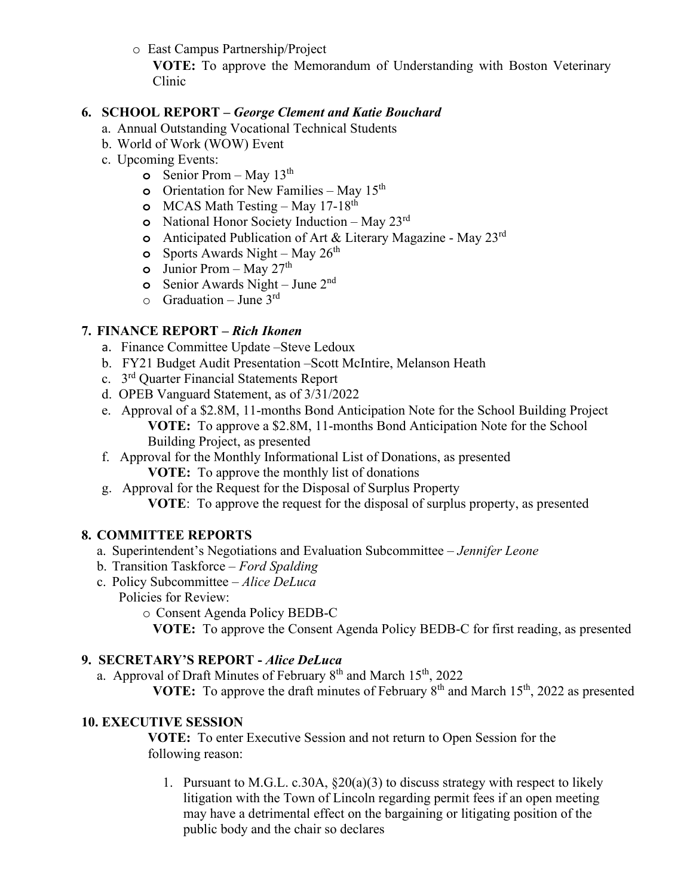o East Campus Partnership/Project

**VOTE:** To approve the Memorandum of Understanding with Boston Veterinary Clinic

### **6. SCHOOL REPORT –** *George Clement and Katie Bouchard*

- a. Annual Outstanding Vocational Technical Students
- b. World of Work (WOW) Event
- c. Upcoming Events:
	- **o** Senior Prom May 13<sup>th</sup>
	- **o** Orientation for New Families May 15<sup>th</sup>
	- **o** MCAS Math Testing May 17-18<sup>th</sup>
	- **o** National Honor Society Induction May 23rd
	- **o** Anticipated Publication of Art & Literary Magazine May 23rd
	- **o** Sports Awards Night May  $26^{th}$
	- **o** Junior Prom May  $27<sup>th</sup>$
	- **o** Senior Awards Night June 2nd
	- $\circ$  Graduation June 3<sup>rd</sup>

## **7. FINANCE REPORT** *– Rich Ikonen*

- a. Finance Committee Update –Steve Ledoux
- b. FY21 Budget Audit Presentation –Scott McIntire, Melanson Heath
- c. 3rd Quarter Financial Statements Report
- d. OPEB Vanguard Statement, as of 3/31/2022
- e. Approval of a \$2.8M, 11-months Bond Anticipation Note for the School Building Project **VOTE:** To approve a \$2.8M, 11-months Bond Anticipation Note for the School Building Project, as presented
- f. Approval for the Monthly Informational List of Donations, as presented **VOTE:** To approve the monthly list of donations
- g. Approval for the Request for the Disposal of Surplus Property **VOTE**: To approve the request for the disposal of surplus property, as presented

## **8. COMMITTEE REPORTS**

- a. Superintendent's Negotiations and Evaluation Subcommittee *Jennifer Leone*
- b. Transition Taskforce *Ford Spalding*
- c. Policy Subcommittee *Alice DeLuca*
	- Policies for Review:
		- o Consent Agenda Policy BEDB-C

**VOTE:** To approve the Consent Agenda Policy BEDB-C for first reading, as presented

#### **9. SECRETARY'S REPORT -** *Alice DeLuca*

a. Approval of Draft Minutes of February 8<sup>th</sup> and March 15<sup>th</sup>, 2022

**VOTE:** To approve the draft minutes of February 8<sup>th</sup> and March 15<sup>th</sup>, 2022 as presented

## **10. EXECUTIVE SESSION**

**VOTE:** To enter Executive Session and not return to Open Session for the following reason:

1. Pursuant to M.G.L. c.30A, §20(a)(3) to discuss strategy with respect to likely litigation with the Town of Lincoln regarding permit fees if an open meeting may have a detrimental effect on the bargaining or litigating position of the public body and the chair so declares